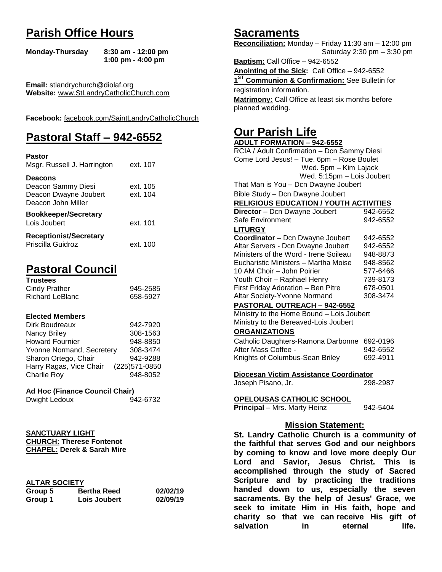# **Parish Office Hours**

```
Monday-Thursday 8:30 am - 12:00 pm
       1:00 pm - 4:00 pm
```
**Email:** stlandrychurch@diolaf.org **Website:** [www.StLandryCatholicChurch.com](http://www.stlandrycatholicchurch.com/)

**Facebook:** [facebook.com/SaintLandryCatholicChurch](http://facebook.com/SaintLandryCatholicChurch)

# **Pastoral Staff – 942-6552**

| <b>Pastor</b><br>Msgr. Russell J. Harrington                                        | ext. 107             |
|-------------------------------------------------------------------------------------|----------------------|
| <b>Deacons</b><br>Deacon Sammy Diesi<br>Deacon Dwayne Joubert<br>Deacon John Miller | ext. 105<br>ext. 104 |
| <b>Bookkeeper/Secretary</b><br>Lois Joubert                                         | ext. 101             |
| <b>Receptionist/Secretary</b><br>Priscilla Guidroz                                  | ext. 100             |

# **Pastoral Council**

| <b>Trustees</b> |          |
|-----------------|----------|
| Cindy Prather   | 945-2585 |
| Richard LeBlanc | 658-5927 |

#### **Elected Members**

| Dirk Boudreaux            | 942-7920       |
|---------------------------|----------------|
| Nancy Briley              | 308-1563       |
| <b>Howard Fournier</b>    | 948-8850       |
| Yvonne Normand, Secretery | 308-3474       |
| Sharon Ortego, Chair      | 942-9288       |
| Harry Ragas, Vice Chair   | (225) 571-0850 |
| <b>Charlie Roy</b>        | 948-8052       |

### **Ad Hoc (Finance Council Chair)**

```
Dwight Ledoux 942-6732
```
**SANCTUARY LIGHT CHURCH: Therese Fontenot CHAPEL: Derek & Sarah Mire**

### **ALTAR SOCIETY**

| Group 5 | <b>Bertha Reed</b> | 02/02/19 |
|---------|--------------------|----------|
| Group 1 | Lois Joubert       | 02/09/19 |

## **Sacraments**

**Reconciliation:** Monday – Friday 11:30 am – 12:00 pm Saturday 2:30 pm – 3:30 pm

**Baptism:** Call Office – 942-6552 **Anointing of the Sick:** Call Office – 942-6552 **1 ST Communion & Confirmation:** See Bulletin for registration information. **Matrimony:** Call Office at least six months before planned wedding.

# **Our Parish Life**

| RCIA / Adult Confirmation - Dcn Sammy Diesi<br>Come Lord Jesus! - Tue. 6pm - Rose Boulet<br>Wed. 5pm - Kim Lajack<br>Wed. 5:15pm - Lois Joubert<br>That Man is You - Dcn Dwayne Joubert<br>Bible Study - Dcn Dwayne Joubert<br><b>RELIGIOUS EDUCATION / YOUTH ACTIVITIES</b><br>Director - Dcn Dwayne Joubert<br>942-6552<br>Safe Environment<br>942-6552<br><b>LITURGY</b><br>Coordinator - Dcn Dwayne Joubert<br>942-6552<br>Altar Servers - Dcn Dwayne Joubert<br>942-6552<br>Ministers of the Word - Irene Soileau<br>948-8873<br>Eucharistic Ministers - Martha Moise<br>948-8562<br>10 AM Choir - John Poirier<br>577-6466<br>Youth Choir - Raphael Henry<br>739-8173<br>First Friday Adoration - Ben Pitre<br>678-0501<br>Altar Society-Yvonne Normand<br>308-3474<br>PASTORAL OUTREACH - 942-6552<br>Ministry to the Home Bound - Lois Joubert<br>Ministry to the Bereaved-Lois Joubert |  |
|-------------------------------------------------------------------------------------------------------------------------------------------------------------------------------------------------------------------------------------------------------------------------------------------------------------------------------------------------------------------------------------------------------------------------------------------------------------------------------------------------------------------------------------------------------------------------------------------------------------------------------------------------------------------------------------------------------------------------------------------------------------------------------------------------------------------------------------------------------------------------------------------------|--|
|                                                                                                                                                                                                                                                                                                                                                                                                                                                                                                                                                                                                                                                                                                                                                                                                                                                                                                 |  |
|                                                                                                                                                                                                                                                                                                                                                                                                                                                                                                                                                                                                                                                                                                                                                                                                                                                                                                 |  |
|                                                                                                                                                                                                                                                                                                                                                                                                                                                                                                                                                                                                                                                                                                                                                                                                                                                                                                 |  |
|                                                                                                                                                                                                                                                                                                                                                                                                                                                                                                                                                                                                                                                                                                                                                                                                                                                                                                 |  |
|                                                                                                                                                                                                                                                                                                                                                                                                                                                                                                                                                                                                                                                                                                                                                                                                                                                                                                 |  |
|                                                                                                                                                                                                                                                                                                                                                                                                                                                                                                                                                                                                                                                                                                                                                                                                                                                                                                 |  |
|                                                                                                                                                                                                                                                                                                                                                                                                                                                                                                                                                                                                                                                                                                                                                                                                                                                                                                 |  |
|                                                                                                                                                                                                                                                                                                                                                                                                                                                                                                                                                                                                                                                                                                                                                                                                                                                                                                 |  |
|                                                                                                                                                                                                                                                                                                                                                                                                                                                                                                                                                                                                                                                                                                                                                                                                                                                                                                 |  |
|                                                                                                                                                                                                                                                                                                                                                                                                                                                                                                                                                                                                                                                                                                                                                                                                                                                                                                 |  |
|                                                                                                                                                                                                                                                                                                                                                                                                                                                                                                                                                                                                                                                                                                                                                                                                                                                                                                 |  |
|                                                                                                                                                                                                                                                                                                                                                                                                                                                                                                                                                                                                                                                                                                                                                                                                                                                                                                 |  |
|                                                                                                                                                                                                                                                                                                                                                                                                                                                                                                                                                                                                                                                                                                                                                                                                                                                                                                 |  |
|                                                                                                                                                                                                                                                                                                                                                                                                                                                                                                                                                                                                                                                                                                                                                                                                                                                                                                 |  |
|                                                                                                                                                                                                                                                                                                                                                                                                                                                                                                                                                                                                                                                                                                                                                                                                                                                                                                 |  |
|                                                                                                                                                                                                                                                                                                                                                                                                                                                                                                                                                                                                                                                                                                                                                                                                                                                                                                 |  |
|                                                                                                                                                                                                                                                                                                                                                                                                                                                                                                                                                                                                                                                                                                                                                                                                                                                                                                 |  |
|                                                                                                                                                                                                                                                                                                                                                                                                                                                                                                                                                                                                                                                                                                                                                                                                                                                                                                 |  |
|                                                                                                                                                                                                                                                                                                                                                                                                                                                                                                                                                                                                                                                                                                                                                                                                                                                                                                 |  |
|                                                                                                                                                                                                                                                                                                                                                                                                                                                                                                                                                                                                                                                                                                                                                                                                                                                                                                 |  |
|                                                                                                                                                                                                                                                                                                                                                                                                                                                                                                                                                                                                                                                                                                                                                                                                                                                                                                 |  |
| <b>ORGANIZATIONS</b>                                                                                                                                                                                                                                                                                                                                                                                                                                                                                                                                                                                                                                                                                                                                                                                                                                                                            |  |
| Catholic Daughters-Ramona Darbonne<br>692-0196                                                                                                                                                                                                                                                                                                                                                                                                                                                                                                                                                                                                                                                                                                                                                                                                                                                  |  |
| After Mass Coffee -<br>942-6552                                                                                                                                                                                                                                                                                                                                                                                                                                                                                                                                                                                                                                                                                                                                                                                                                                                                 |  |
| Knights of Columbus-Sean Briley<br>692-4911                                                                                                                                                                                                                                                                                                                                                                                                                                                                                                                                                                                                                                                                                                                                                                                                                                                     |  |
|                                                                                                                                                                                                                                                                                                                                                                                                                                                                                                                                                                                                                                                                                                                                                                                                                                                                                                 |  |
| Diocesan Victim Assistance Coordinator                                                                                                                                                                                                                                                                                                                                                                                                                                                                                                                                                                                                                                                                                                                                                                                                                                                          |  |
| Joseph Pisano, Jr.<br>298-2987                                                                                                                                                                                                                                                                                                                                                                                                                                                                                                                                                                                                                                                                                                                                                                                                                                                                  |  |
| OPELOUSAS CATHOLIC SCHOOL                                                                                                                                                                                                                                                                                                                                                                                                                                                                                                                                                                                                                                                                                                                                                                                                                                                                       |  |
| <b>Principal</b> - Mrs. Marty Heinz<br>942-5404                                                                                                                                                                                                                                                                                                                                                                                                                                                                                                                                                                                                                                                                                                                                                                                                                                                 |  |
|                                                                                                                                                                                                                                                                                                                                                                                                                                                                                                                                                                                                                                                                                                                                                                                                                                                                                                 |  |
| <b>Mission Statement:</b>                                                                                                                                                                                                                                                                                                                                                                                                                                                                                                                                                                                                                                                                                                                                                                                                                                                                       |  |
| St. Landry Catholic Church is a community of                                                                                                                                                                                                                                                                                                                                                                                                                                                                                                                                                                                                                                                                                                                                                                                                                                                    |  |
| the faithful that serves God and our neighbors                                                                                                                                                                                                                                                                                                                                                                                                                                                                                                                                                                                                                                                                                                                                                                                                                                                  |  |
| by coming to know and love more deeply Our                                                                                                                                                                                                                                                                                                                                                                                                                                                                                                                                                                                                                                                                                                                                                                                                                                                      |  |
| and Savior, Jesus Christ. This<br>Lord<br>is is                                                                                                                                                                                                                                                                                                                                                                                                                                                                                                                                                                                                                                                                                                                                                                                                                                                 |  |
| accomplished through the study of Sacred                                                                                                                                                                                                                                                                                                                                                                                                                                                                                                                                                                                                                                                                                                                                                                                                                                                        |  |

**accomplished through the study of Sacred Scripture and by practicing the traditions handed down to us, especially the seven sacraments. By the help of Jesus' Grace, we seek to imitate Him in His faith, hope and charity so that we can receive His gift of salvation in** eternal life.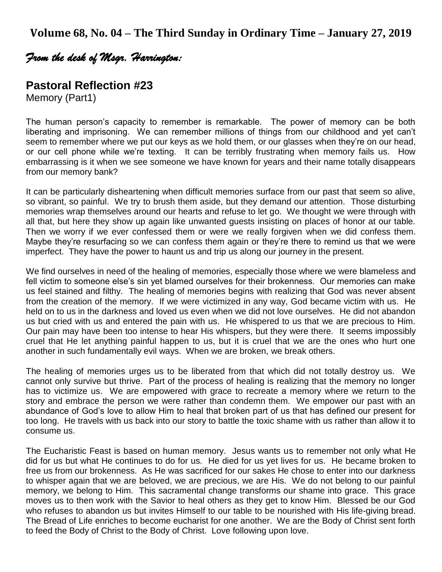## *From the desk of Msgr. Harrington:*

## **Pastoral Reflection #23**

Memory (Part1)

The human person's capacity to remember is remarkable. The power of memory can be both liberating and imprisoning. We can remember millions of things from our childhood and yet can't seem to remember where we put our keys as we hold them, or our glasses when they're on our head, or our cell phone while we're texting. It can be terribly frustrating when memory fails us. How embarrassing is it when we see someone we have known for years and their name totally disappears from our memory bank?

It can be particularly disheartening when difficult memories surface from our past that seem so alive, so vibrant, so painful. We try to brush them aside, but they demand our attention. Those disturbing memories wrap themselves around our hearts and refuse to let go. We thought we were through with all that, but here they show up again like unwanted guests insisting on places of honor at our table. Then we worry if we ever confessed them or were we really forgiven when we did confess them. Maybe they're resurfacing so we can confess them again or they're there to remind us that we were imperfect. They have the power to haunt us and trip us along our journey in the present.

We find ourselves in need of the healing of memories, especially those where we were blameless and fell victim to someone else's sin yet blamed ourselves for their brokenness. Our memories can make us feel stained and filthy. The healing of memories begins with realizing that God was never absent from the creation of the memory. If we were victimized in any way, God became victim with us. He held on to us in the darkness and loved us even when we did not love ourselves. He did not abandon us but cried with us and entered the pain with us. He whispered to us that we are precious to Him. Our pain may have been too intense to hear His whispers, but they were there. It seems impossibly cruel that He let anything painful happen to us, but it is cruel that we are the ones who hurt one another in such fundamentally evil ways. When we are broken, we break others.

The healing of memories urges us to be liberated from that which did not totally destroy us. We cannot only survive but thrive. Part of the process of healing is realizing that the memory no longer has to victimize us. We are empowered with grace to recreate a memory where we return to the story and embrace the person we were rather than condemn them. We empower our past with an abundance of God's love to allow Him to heal that broken part of us that has defined our present for too long. He travels with us back into our story to battle the toxic shame with us rather than allow it to consume us.

The Eucharistic Feast is based on human memory. Jesus wants us to remember not only what He did for us but what He continues to do for us. He died for us yet lives for us. He became broken to free us from our brokenness. As He was sacrificed for our sakes He chose to enter into our darkness to whisper again that we are beloved, we are precious, we are His. We do not belong to our painful memory, we belong to Him. This sacramental change transforms our shame into grace. This grace moves us to then work with the Savior to heal others as they get to know Him. Blessed be our God who refuses to abandon us but invites Himself to our table to be nourished with His life-giving bread. The Bread of Life enriches to become eucharist for one another. We are the Body of Christ sent forth to feed the Body of Christ to the Body of Christ. Love following upon love.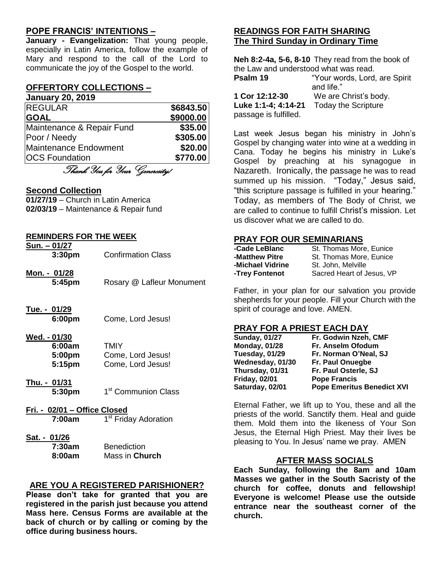### **POPE FRANCIS' INTENTIONS –**

**January - Evangelization:** That young people, especially in Latin America, follow the example of Mary and respond to the call of the Lord to communicate the joy of the Gospel to the world.

## **OFFERTORY COLLECTIONS –**

**January 20, 2019**

| <b>REGULAR</b>            | \$6843.50 |
|---------------------------|-----------|
| <b>GOAL</b>               | \$9000.00 |
| Maintenance & Repair Fund | \$35.00   |
| Poor / Needy              | \$305.00  |
| Maintenance Endowment     | \$20.00   |
| <b>OCS Foundation</b>     | \$770.00  |

Thank You for Your Generosity!

#### **Second Collection**

**01/27/19** – Church in Latin America **02/03/19** – Maintenance & Repair fund

#### **REMINDERS FOR THE WEEK**

| Sun. - 01/27       |                           |  |
|--------------------|---------------------------|--|
| 3:30 <sub>pm</sub> | <b>Confirmation Class</b> |  |
| Mon. - 01/28       |                           |  |

- **5:45pm** Rosary @ Lafleur Monument
- **Tue. - 01/29**

**6:00pm** Come, Lord Jesus!

#### **Wed. - 01/30**

| 6:00am | TMIY              |
|--------|-------------------|
| 5:00pm | Come, Lord Jesus! |
| 5:15pm | Come, Lord Jesus! |

- **Thu. - 01/31 5:30pm** 1 1<sup>st</sup> Communion Class
- **Fri. - 02/01 – Office Closed 7:00am** 1 1<sup>st</sup> Friday Adoration
- **Sat. - 01/26 7:30am** Benedicti

| 7:30am | <b>Benediction</b> |
|--------|--------------------|
| 8:00am | Mass in Church     |

### **ARE YOU A REGISTERED PARISHIONER?**

**Please don't take for granted that you are registered in the parish just because you attend Mass here. Census Forms are available at the back of church or by calling or coming by the office during business hours.**

## **READINGS FOR FAITH SHARING The Third Sunday in Ordinary Time**

**Neh 8:2-4a, 5-6, 8-10** They read from the book of the Law and understood what was read. **Psalm 19** "Your words, Lord, are Spirit and life." **1 Cor 12:12-30** We are Christ's body. **Luke 1:1-4; 4:14-21** Today the Scripture passage is fulfilled.

Last week Jesus began his ministry in John's Gospel by changing water into wine at a wedding in Cana. Today he begins his ministry in Luke's Gospel by preaching at his synagogue in Nazareth. Ironically, the passage he was to read summed up his mission. "Today," Jesus said, "this scripture passage is fulfilled in your hearing." Today, as members of The Body of Christ, we are called to continue to fulfill Christ's mission. Let us discover what we are called to do.

#### **PRAY FOR OUR SEMINARIANS**

| -Cade LeBlanc    | St. Thomas More, Eunice   |
|------------------|---------------------------|
| -Matthew Pitre   | St. Thomas More, Eunice   |
| -Michael Vidrine | St. John. Melville        |
| -Trey Fontenot   | Sacred Heart of Jesus, VP |

Father, in your plan for our salvation you provide shepherds for your people. Fill your Church with the spirit of courage and love. AMEN.

#### **PRAY FOR A PRIEST EACH DAY**

| <b>Sunday, 01/27</b> | Fr. Godwin Nzeh, CMF              |
|----------------------|-----------------------------------|
| <b>Monday, 01/28</b> | Fr. Anselm Ofodum                 |
| Tuesday, 01/29       | Fr. Norman O'Neal, SJ             |
| Wednesday, 01/30     | Fr. Paul Onuegbe                  |
| Thursday, 01/31      | Fr. Paul Osterle, SJ              |
| <b>Friday, 02/01</b> | <b>Pope Francis</b>               |
| Saturday, 02/01      | <b>Pope Emeritus Benedict XVI</b> |

Eternal Father, we lift up to You, these and all the priests of the world. Sanctify them. Heal and guide them. Mold them into the likeness of Your Son Jesus, the Eternal High Priest. May their lives be pleasing to You. In Jesus' name we pray. AMEN

### **AFTER MASS SOCIALS**

**Each Sunday, following the 8am and 10am Masses we gather in the South Sacristy of the church for coffee, donuts and fellowship! Everyone is welcome! Please use the outside entrance near the southeast corner of the church.**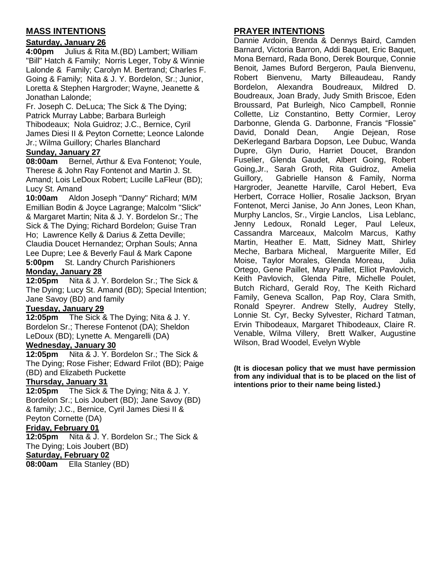## **MASS INTENTIONS**

### **Saturday, January 26**

**4:00pm** Julius & Rita M.(BD) Lambert; William "Bill" Hatch & Family; Norris Leger, Toby & Winnie Lalonde & Family; Carolyn M. Bertrand; Charles F. Going & Family; Nita & J. Y. Bordelon, Sr.; Junior, Loretta & Stephen Hargroder; Wayne, Jeanette & Jonathan Lalonde;

Fr. Joseph C. DeLuca; The Sick & The Dying; Patrick Murray Labbe; Barbara Burleigh Thibodeaux; Nola Guidroz; J.C., Bernice, Cyril James Diesi II & Peyton Cornette; Leonce Lalonde Jr.; Wilma Guillory; Charles Blanchard

## **Sunday, January 27**

**08:00am** Bernel, Arthur & Eva Fontenot; Youle, Therese & John Ray Fontenot and Martin J. St. Amand; Lois LeDoux Robert; Lucille LaFleur (BD); Lucy St. Amand

**10:00am** Aldon Joseph "Danny" Richard; M/M Emillian Bodin & Joyce Lagrange; Malcolm "Slick" & Margaret Martin; Nita & J. Y. Bordelon Sr.; The Sick & The Dying; Richard Bordelon; Guise Tran Ho; Lawrence Kelly & Darius & Zetta Deville; Claudia Doucet Hernandez; Orphan Souls; Anna Lee Dupre; Lee & Beverly Faul & Mark Capone **5:00pm** St. Landry Church Parishioners **Monday, January 28**

**12:05pm** Nita & J. Y. Bordelon Sr.; The Sick & The Dying; Lucy St. Amand (BD); Special Intention; Jane Savoy (BD) and family

#### **Tuesday, January 29**

**12:05pm** The Sick & The Dying; Nita & J. Y. Bordelon Sr.; Therese Fontenot (DA); Sheldon LeDoux (BD); Lynette A. Mengarelli (DA)

#### **Wednesday, January 30**

**12:05pm** Nita & J. Y. Bordelon Sr.; The Sick & The Dying; Rose Fisher; Edward Frilot (BD); Paige (BD) and Elizabeth Puckette

### **Thursday, January 31**

**12:05pm** The Sick & The Dying; Nita & J. Y. Bordelon Sr.; Lois Joubert (BD); Jane Savoy (BD) & family; J.C., Bernice, Cyril James Diesi II & Peyton Cornette (DA)

#### **Friday, February 01**

**12:05pm** Nita & J. Y. Bordelon Sr.; The Sick & The Dying; Lois Joubert (BD) **Saturday, February 02**

**08:00am** Ella Stanley (BD)

## **PRAYER INTENTIONS**

Dannie Ardoin, Brenda & Dennys Baird, Camden Barnard, Victoria Barron, Addi Baquet, Eric Baquet, Mona Bernard, Rada Bono, Derek Bourque, Connie Benoit, James Buford Bergeron, Paula Bienvenu, Robert Bienvenu, Marty Billeaudeau, Randy Bordelon, Alexandra Boudreaux, Mildred D. Boudreaux, Joan Brady, Judy Smith Briscoe, Eden Broussard, Pat Burleigh, Nico Campbell, Ronnie Collette, Liz Constantino, Betty Cormier, Leroy Darbonne, Glenda G. Darbonne, Francis "Flossie" David, Donald Dean, Angie Dejean, Rose DeKerlegand Barbara Dopson, Lee Dubuc, Wanda Dupre, Glyn Durio, Harriet Doucet, Brandon Fuselier, Glenda Gaudet, Albert Going, Robert Going,Jr., Sarah Groth, Rita Guidroz, Amelia Guillory, Gabrielle Hanson & Family, Norma Hargroder, Jeanette Harville, Carol Hebert, Eva Herbert, Corrace Hollier, Rosalie Jackson, Bryan Fontenot, Merci Janise, Jo Ann Jones, Leon Khan, Murphy Lanclos, Sr., Virgie Lanclos, Lisa Leblanc, Jenny Ledoux, Ronald Leger, Paul Leleux, Cassandra Marceaux, Malcolm Marcus, Kathy Martin, Heather E. Matt, Sidney Matt, Shirley Meche, Barbara Micheal, Marguerite Miller, Ed Moise, Taylor Morales, Glenda Moreau, Julia Ortego, Gene Paillet, Mary Paillet, Elliot Pavlovich, Keith Pavlovich, Glenda Pitre, Michelle Poulet, Butch Richard, Gerald Roy, The Keith Richard Family, Geneva Scallon, Pap Roy, Clara Smith, Ronald Speyrer. Andrew Stelly, Audrey Stelly, Lonnie St. Cyr, Becky Sylvester, Richard Tatman, Ervin Thibodeaux, Margaret Thibodeaux, Claire R. Venable, Wilma Villery, Brett Walker, Augustine Wilson, Brad Woodel, Evelyn Wyble

**(It is diocesan policy that we must have permission from any individual that is to be placed on the list of intentions prior to their name being listed.)**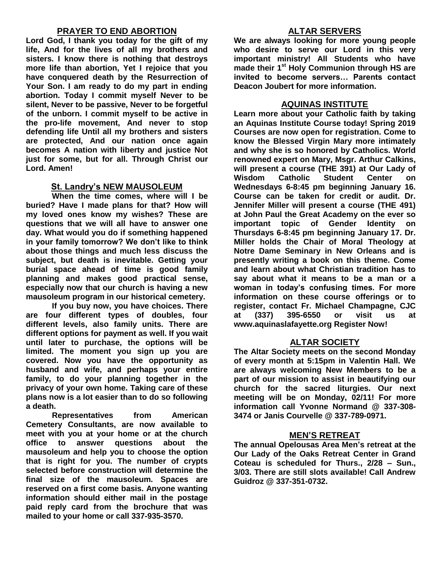### **PRAYER TO END ABORTION**

**Lord God, I thank you today for the gift of my life, And for the lives of all my brothers and sisters. I know there is nothing that destroys more life than abortion, Yet I rejoice that you have conquered death by the Resurrection of Your Son. I am ready to do my part in ending abortion. Today I commit myself Never to be silent, Never to be passive, Never to be forgetful of the unborn. I commit myself to be active in the pro-life movement, And never to stop defending life Until all my brothers and sisters are protected, And our nation once again becomes A nation with liberty and justice Not just for some, but for all. Through Christ our Lord. Amen!**

### **St. Landry's NEW MAUSOLEUM**

**When the time comes, where will I be buried? Have I made plans for that? How will my loved ones know my wishes? These are questions that we will all have to answer one day. What would you do if something happened in your family tomorrow? We don't like to think about those things and much less discuss the subject, but death is inevitable. Getting your burial space ahead of time is good family planning and makes good practical sense, especially now that our church is having a new mausoleum program in our historical cemetery.**

**If you buy now, you have choices. There are four different types of doubles, four different levels, also family units. There are different options for payment as well. If you wait until later to purchase, the options will be limited. The moment you sign up you are covered. Now you have the opportunity as husband and wife, and perhaps your entire family, to do your planning together in the privacy of your own home. Taking care of these plans now is a lot easier than to do so following a death.**

**Representatives from American Cemetery Consultants, are now available to meet with you at your home or at the church office to answer questions about the mausoleum and help you to choose the option that is right for you. The number of crypts selected before construction will determine the final size of the mausoleum. Spaces are reserved on a first come basis. Anyone wanting information should either mail in the postage paid reply card from the brochure that was mailed to your home or call 337-935-3570.**

### **ALTAR SERVERS**

**We are always looking for more young people who desire to serve our Lord in this very important ministry! All Students who have made their 1st Holy Communion through HS are invited to become servers… Parents contact Deacon Joubert for more information.**

### **AQUINAS INSTITUTE**

**Learn more about your Catholic faith by taking an Aquinas Institute Course today! Spring 2019 Courses are now open for registration. Come to know the Blessed Virgin Mary more intimately and why she is so honored by Catholics. World renowned expert on Mary, Msgr. Arthur Calkins, will present a course (THE 391) at Our Lady of Wisdom Catholic Student Center on Wednesdays 6-8:45 pm beginning January 16. Course can be taken for credit or audit. Dr. Jennifer Miller will present a course (THE 491) at John Paul the Great Academy on the ever so important topic of Gender Identity on Thursdays 6-8:45 pm beginning January 17. Dr. Miller holds the Chair of Moral Theology at Notre Dame Seminary in New Orleans and is presently writing a book on this theme. Come and learn about what Christian tradition has to say about what it means to be a man or a woman in today's confusing times. For more information on these course offerings or to register, contact Fr. Michael Champagne, CJC at (337) 395-6550 or visit us at www.aquinaslafayette.org Register Now!**

### **ALTAR SOCIETY**

**The Altar Society meets on the second Monday of every month at 5:15pm in Valentin Hall. We are always welcoming New Members to be a part of our mission to assist in beautifying our church for the sacred liturgies. Our next meeting will be on Monday, 02/11! For more information call Yvonne Normand @ 337-308- 3474 or Janis Courvelle @ 337-789-0971.** 

### **MEN'S RETREAT**

**The annual Opelousas Area Men's retreat at the Our Lady of the Oaks Retreat Center in Grand Coteau is scheduled for Thurs., 2/28 – Sun., 3/03. There are still slots available! Call Andrew Guidroz @ 337-351-0732.**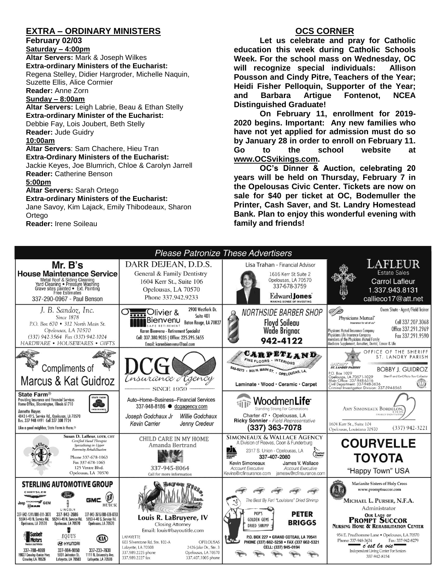## **EXTRA – ORDINARY MINISTERS**

**February 02/03**

**Saturday – 4:00pm Altar Servers:** Mark & Joseph Wilkes **Extra-ordinary Ministers of the Eucharist:**  Regena Stelley, Didier Hargroder, Michelle Naquin, Suzette Ellis, Alice Cormier **Reader:** Anne Zorn

#### **Sunday – 8:00am**

**Altar Servers:** Leigh Labrie, Beau & Ethan Stelly **Extra-ordinary Minister of the Eucharist:** Debbie Fay, Lois Joubert, Beth Stelly **Reader:** Jude Guidry **10:00am Altar Servers**: Sam Chachere, Hieu Tran **Extra-Ordinary Ministers of the Eucharist:** Jackie Keyes, Joe Blumrich, Chloe & Carolyn Jarrell **Reader:** Catherine Benson

#### **5:00pm**

**Altar Servers:** Sarah Ortego

#### **Extra-ordinary Ministers of the Eucharist:**

Jane Savoy, Kim Lajack, Emily Thibodeaux, Sharon **Ortego** 

**Reader:** Irene Soileau

## **OCS CORNER**

**Let us celebrate and pray for Catholic education this week during Catholic Schools Week. For the school mass on Wednesday, OC will recognize special individuals: Allison Pousson and Cindy Pitre, Teachers of the Year; Heidi Fisher Pelloquin, Supporter of the Year; and Barbara Artigue Fontenot, NCEA Distinguished Graduate!**

**On February 11, enrollment for 2019- 2020 begins. Important: Any new families who have not yet applied for admission must do so by January 28 in order to enroll on February 11. Go to the school website at [www.OCSvikings.com.](http://www.ocsvikings.com/)**

**OC's Dinner & Auction, celebrating 20 years will be held on Thursday, February 7 in the Opelousas Civic Center. Tickets are now on sale for \$40 per ticket at OC, Bodemuller the Printer, Cash Saver, and St. Landry Homestead Bank. Plan to enjoy this wonderful evening with family and friends!**